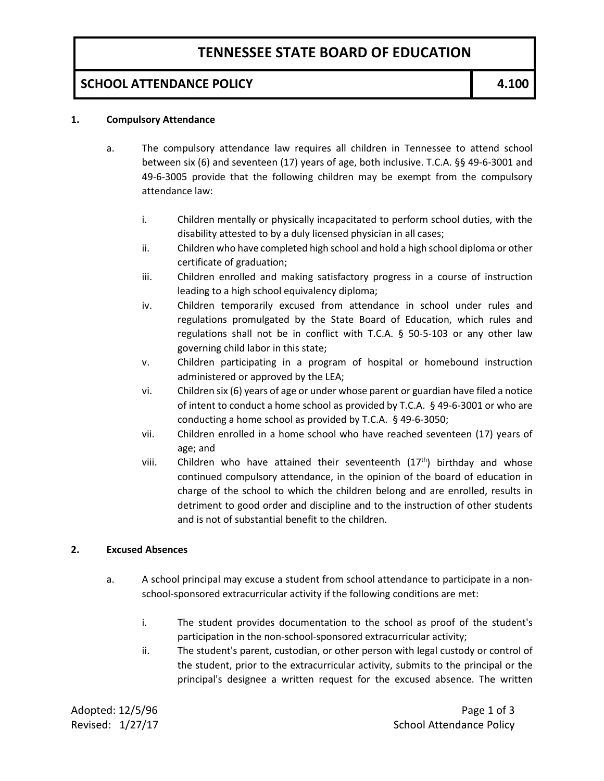## **TENNESSEE STATE BOARD OF EDUCATION**

### **SCHOOL ATTENDANCE POLICY 1 4.100**

#### **1. Compulsory Attendance**

- a. The compulsory attendance law requires all children in Tennessee to attend school between six (6) and seventeen (17) years of age, both inclusive. T.C.A. §§ 49-6-3001 and 49-6-3005 provide that the following children may be exempt from the compulsory attendance law:
	- i. Children mentally or physically incapacitated to perform school duties, with the disability attested to by a duly licensed physician in all cases;
	- ii. Children who have completed high school and hold a high school diploma or other certificate of graduation;
	- iii. Children enrolled and making satisfactory progress in a course of instruction leading to a high school equivalency diploma;
	- iv. Children temporarily excused from attendance in school under rules and regulations promulgated by the State Board of Education, which rules and regulations shall not be in conflict with T.C.A. § 50-5-103 or any other law governing child labor in this state;
	- v. Children participating in a program of hospital or homebound instruction administered or approved by the LEA;
	- vi. Children six (6) years of age or under whose parent or guardian have filed a notice of intent to conduct a home school as provided by T.C.A. § 49-6-3001 or who are conducting a home school as provided by T.C.A. § 49-6-3050;
	- vii. Children enrolled in a home school who have reached seventeen (17) years of age; and
	- viii. Children who have attained their seventeenth  $(17<sup>th</sup>)$  birthday and whose continued compulsory attendance, in the opinion of the board of education in charge of the school to which the children belong and are enrolled, results in detriment to good order and discipline and to the instruction of other students and is not of substantial benefit to the children.

#### **2. Excused Absences**

- a. A school principal may excuse a student from school attendance to participate in a nonschool-sponsored extracurricular activity if the following conditions are met:
	- i. The student provides documentation to the school as proof of the student's participation in the non-school-sponsored extracurricular activity;
	- ii. The student's parent, custodian, or other person with legal custody or control of the student, prior to the extracurricular activity, submits to the principal or the principal's designee a written request for the excused absence. The written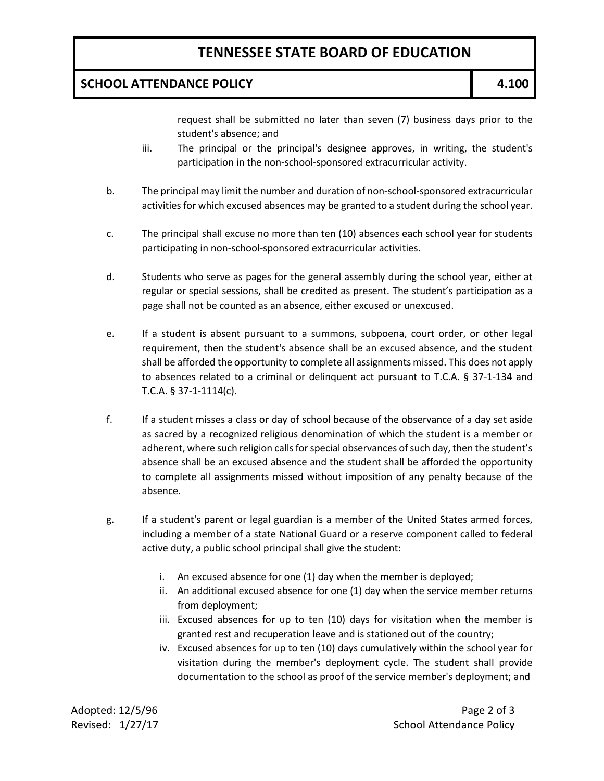## **TENNESSEE STATE BOARD OF EDUCATION**

### **SCHOOL ATTENDANCE POLICY 12.100**

request shall be submitted no later than seven (7) business days prior to the student's absence; and

- iii. The principal or the principal's designee approves, in writing, the student's participation in the non-school-sponsored extracurricular activity.
- b. The principal may limit the number and duration of non-school-sponsored extracurricular activities for which excused absences may be granted to a student during the school year.
- c. The principal shall excuse no more than ten (10) absences each school year for students participating in non-school-sponsored extracurricular activities.
- d. Students who serve as pages for the general assembly during the school year, either at regular or special sessions, shall be credited as present. The student's participation as a page shall not be counted as an absence, either excused or unexcused.
- e. If a student is absent pursuant to a summons, subpoena, court order, or other legal requirement, then the student's absence shall be an excused absence, and the student shall be afforded the opportunity to complete all assignments missed. This does not apply to absences related to a criminal or delinquent act pursuant to T.C.A. § 37-1-134 and T.C.A. § 37-1-1114(c).
- f. If a student misses a class or day of school because of the observance of a day set aside as sacred by a recognized religious denomination of which the student is a member or adherent, where such religion calls for special observances of such day, then the student's absence shall be an excused absence and the student shall be afforded the opportunity to complete all assignments missed without imposition of any penalty because of the absence.
- g. If a student's parent or legal guardian is a member of the United States armed forces, including a member of a state National Guard or a reserve component called to federal active duty, a public school principal shall give the student:
	- i. An excused absence for one (1) day when the member is deployed;
	- ii. An additional excused absence for one (1) day when the service member returns from deployment;
	- iii. Excused absences for up to ten (10) days for visitation when the member is granted rest and recuperation leave and is stationed out of the country;
	- iv. Excused absences for up to ten (10) days cumulatively within the school year for visitation during the member's deployment cycle. The student shall provide documentation to the school as proof of the service member's deployment; and